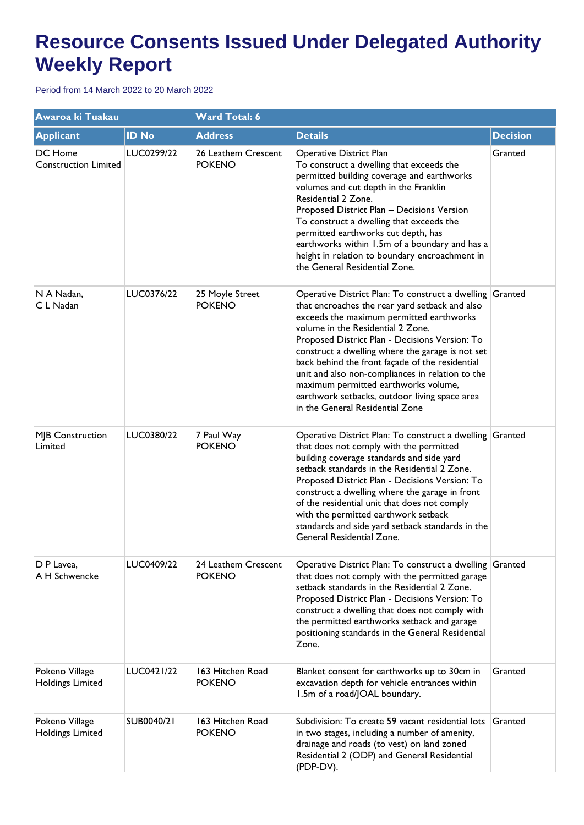| Awaroa ki Tuakau                          |              | <b>Ward Total: 6</b>                 |                                                                                                                                                                                                                                                                                                                                                                                                                                                                                                                                      |                 |
|-------------------------------------------|--------------|--------------------------------------|--------------------------------------------------------------------------------------------------------------------------------------------------------------------------------------------------------------------------------------------------------------------------------------------------------------------------------------------------------------------------------------------------------------------------------------------------------------------------------------------------------------------------------------|-----------------|
| <b>Applicant</b>                          | <b>ID No</b> | <b>Address</b>                       | <b>Details</b>                                                                                                                                                                                                                                                                                                                                                                                                                                                                                                                       | <b>Decision</b> |
| DC Home<br><b>Construction Limited</b>    | LUC0299/22   | 26 Leathem Crescent<br><b>POKENO</b> | Operative District Plan<br>To construct a dwelling that exceeds the<br>permitted building coverage and earthworks<br>volumes and cut depth in the Franklin<br>Residential 2 Zone.<br>Proposed District Plan - Decisions Version<br>To construct a dwelling that exceeds the<br>permitted earthworks cut depth, has<br>earthworks within 1.5m of a boundary and has a<br>height in relation to boundary encroachment in<br>the General Residential Zone.                                                                              | Granted         |
| N A Nadan,<br>C L Nadan                   | LUC0376/22   | 25 Moyle Street<br><b>POKENO</b>     | Operative District Plan: To construct a dwelling Granted<br>that encroaches the rear yard setback and also<br>exceeds the maximum permitted earthworks<br>volume in the Residential 2 Zone.<br>Proposed District Plan - Decisions Version: To<br>construct a dwelling where the garage is not set<br>back behind the front façade of the residential<br>unit and also non-compliances in relation to the<br>maximum permitted earthworks volume,<br>earthwork setbacks, outdoor living space area<br>in the General Residential Zone |                 |
| MJB Construction<br>Limited               | LUC0380/22   | 7 Paul Way<br><b>POKENO</b>          | Operative District Plan: To construct a dwelling Granted<br>that does not comply with the permitted<br>building coverage standards and side yard<br>setback standards in the Residential 2 Zone.<br>Proposed District Plan - Decisions Version: To<br>construct a dwelling where the garage in front<br>of the residential unit that does not comply<br>with the permitted earthwork setback<br>standards and side yard setback standards in the<br>General Residential Zone.                                                        |                 |
| D P Lavea,<br>A H Schwencke               | LUC0409/22   | 24 Leathem Crescent<br><b>POKENO</b> | Operative District Plan: To construct a dwelling Granted<br>that does not comply with the permitted garage<br>setback standards in the Residential 2 Zone.<br>Proposed District Plan - Decisions Version: To<br>construct a dwelling that does not comply with<br>the permitted earthworks setback and garage<br>positioning standards in the General Residential<br>Zone.                                                                                                                                                           |                 |
| Pokeno Village<br>Holdings Limited        | LUC0421/22   | 163 Hitchen Road<br><b>POKENO</b>    | Blanket consent for earthworks up to 30cm in<br>excavation depth for vehicle entrances within<br>1.5m of a road/JOAL boundary.                                                                                                                                                                                                                                                                                                                                                                                                       | Granted         |
| Pokeno Village<br><b>Holdings Limited</b> | SUB0040/21   | 163 Hitchen Road<br><b>POKENO</b>    | Subdivision: To create 59 vacant residential lots<br>in two stages, including a number of amenity,<br>drainage and roads (to vest) on land zoned<br>Residential 2 (ODP) and General Residential<br>(PDP-DV).                                                                                                                                                                                                                                                                                                                         | Granted         |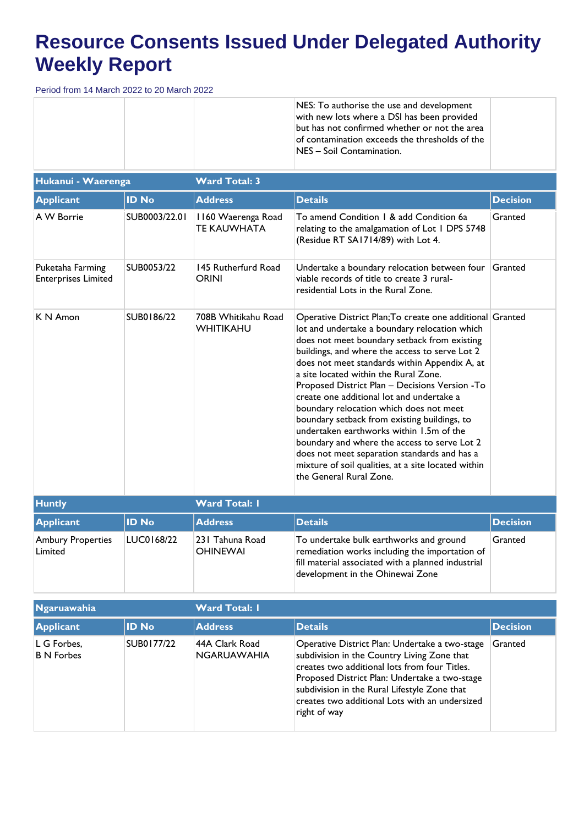|  |  | NES: To authorise the use and development<br>with new lots where a DSI has been provided                                        |  |
|--|--|---------------------------------------------------------------------------------------------------------------------------------|--|
|  |  | but has not confirmed whether or not the area<br>of contamination exceeds the thresholds of the<br>$ NES - Soi $ Contamination. |  |

| Hukanui - Waerenga                             |               | <b>Ward Total: 3</b>                     |                                                                                                                                                                                                                                                                                                                                                                                                                                                                                                                                                                                                                                                                                                                                 |                 |  |  |
|------------------------------------------------|---------------|------------------------------------------|---------------------------------------------------------------------------------------------------------------------------------------------------------------------------------------------------------------------------------------------------------------------------------------------------------------------------------------------------------------------------------------------------------------------------------------------------------------------------------------------------------------------------------------------------------------------------------------------------------------------------------------------------------------------------------------------------------------------------------|-----------------|--|--|
| <b>Applicant</b>                               | <b>ID No</b>  | <b>Address</b>                           | <b>Details</b>                                                                                                                                                                                                                                                                                                                                                                                                                                                                                                                                                                                                                                                                                                                  | <b>Decision</b> |  |  |
| A W Borrie                                     | SUB0003/22.01 | 1160 Waerenga Road<br><b>TE KAUWHATA</b> | To amend Condition 1 & add Condition 6a<br>relating to the amalgamation of Lot I DPS 5748<br>(Residue RT SA1714/89) with Lot 4.                                                                                                                                                                                                                                                                                                                                                                                                                                                                                                                                                                                                 | Granted         |  |  |
| Puketaha Farming<br><b>Enterprises Limited</b> | SUB0053/22    | 145 Rutherfurd Road<br><b>ORINI</b>      | Undertake a boundary relocation between four<br>viable records of title to create 3 rural-<br>residential Lots in the Rural Zone.                                                                                                                                                                                                                                                                                                                                                                                                                                                                                                                                                                                               | Granted         |  |  |
| K N Amon                                       | SUB0186/22    | 708B Whitikahu Road<br>WHITIKAHU         | Operative District Plan; To create one additional Granted<br>lot and undertake a boundary relocation which<br>does not meet boundary setback from existing<br>buildings, and where the access to serve Lot 2<br>does not meet standards within Appendix A, at<br>a site located within the Rural Zone.<br>Proposed District Plan - Decisions Version - To<br>create one additional lot and undertake a<br>boundary relocation which does not meet<br>boundary setback from existing buildings, to<br>undertaken earthworks within 1.5m of the<br>boundary and where the access to serve Lot 2<br>does not meet separation standards and has a<br>mixture of soil qualities, at a site located within<br>the General Rural Zone. |                 |  |  |
| <b>Huntly</b>                                  |               | <b>Ward Total: I</b>                     |                                                                                                                                                                                                                                                                                                                                                                                                                                                                                                                                                                                                                                                                                                                                 |                 |  |  |

| .                            |              | $\cdots$                            |                                                                                                                                                                                     |                 |
|------------------------------|--------------|-------------------------------------|-------------------------------------------------------------------------------------------------------------------------------------------------------------------------------------|-----------------|
| <b>Applicant</b>             | <b>ID No</b> | <b>Address</b>                      | <b>Details</b>                                                                                                                                                                      | <b>Decision</b> |
| Ambury Properties<br>Limited | LUC0168/22   | 1231 Tahuna Road<br><b>OHINEWAI</b> | To undertake bulk earthworks and ground<br>remediation works including the importation of<br>fill material associated with a planned industrial<br>development in the Ohinewai Zone | Granted         |

| Ngaruawahia                      |              | <b>Ward Total: I</b>                 |                                                                                                                                                                                                                                                                                                                   |                 |  |  |
|----------------------------------|--------------|--------------------------------------|-------------------------------------------------------------------------------------------------------------------------------------------------------------------------------------------------------------------------------------------------------------------------------------------------------------------|-----------------|--|--|
| Applicant                        | <b>ID No</b> | <b>Address</b>                       | <b>Details</b>                                                                                                                                                                                                                                                                                                    | <b>Decision</b> |  |  |
| L G Forbes,<br><b>B N Forbes</b> | SUB0177/22   | 44A Clark Road<br><b>NGARUAWAHIA</b> | Operative District Plan: Undertake a two-stage<br>subdivision in the Country Living Zone that<br>creates two additional lots from four Titles.<br>Proposed District Plan: Undertake a two-stage<br>subdivision in the Rural Lifestyle Zone that<br>creates two additional Lots with an undersized<br>right of way | Granted         |  |  |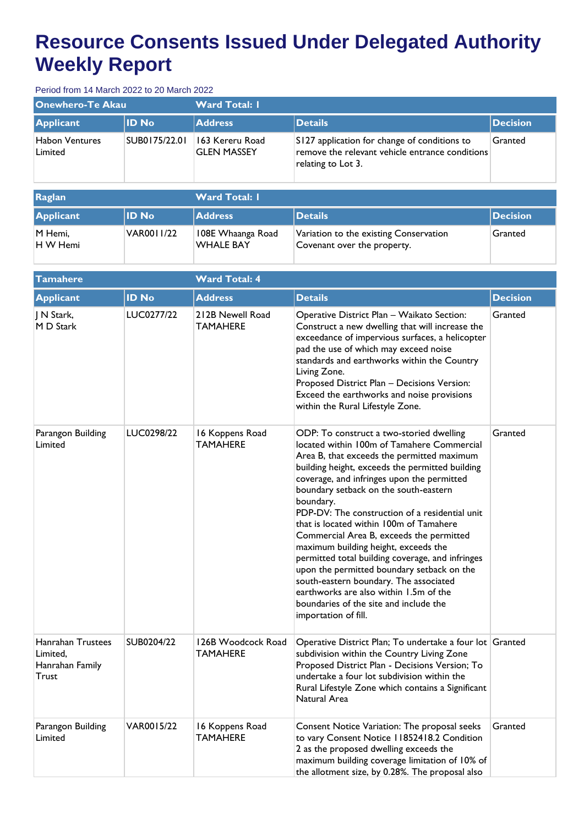| Onewhero-Te Akau          |               | <b>Ward Total: I</b>                  |                                                                                                                       |                 |  |  |
|---------------------------|---------------|---------------------------------------|-----------------------------------------------------------------------------------------------------------------------|-----------------|--|--|
| Applicant                 | <b>ID No</b>  | <b>Address</b>                        | <b>Details</b>                                                                                                        | <b>Decision</b> |  |  |
| Habon Ventures<br>Limited | SUB0175/22.01 | 163 Kereru Road<br><b>GLEN MASSEY</b> | S127 application for change of conditions to<br>remove the relevant vehicle entrance conditions<br>relating to Lot 3. | Granted         |  |  |

| Raglan                    |              | <b>Ward Total: I</b>                  |                                                                       |                  |  |
|---------------------------|--------------|---------------------------------------|-----------------------------------------------------------------------|------------------|--|
| <b>Applicant</b>          | <b>ID No</b> | <b>Address</b>                        | Details                                                               | <b>IDecision</b> |  |
| M Hemi,<br><b>HW</b> Hemi | VAR0011/22   | 108E Whaanga Road<br><b>WHALE BAY</b> | Variation to the existing Conservation<br>Covenant over the property. | Granted          |  |

| <b>Tamahere</b>                                           |              | <b>Ward Total: 4</b>                  |                                                                                                                                                                                                                                                                                                                                                                                                                                                                                                                                                                                                                                                                                                                                      |                 |
|-----------------------------------------------------------|--------------|---------------------------------------|--------------------------------------------------------------------------------------------------------------------------------------------------------------------------------------------------------------------------------------------------------------------------------------------------------------------------------------------------------------------------------------------------------------------------------------------------------------------------------------------------------------------------------------------------------------------------------------------------------------------------------------------------------------------------------------------------------------------------------------|-----------------|
| <b>Applicant</b>                                          | <b>ID No</b> | <b>Address</b>                        | <b>Details</b>                                                                                                                                                                                                                                                                                                                                                                                                                                                                                                                                                                                                                                                                                                                       | <b>Decision</b> |
| N Stark,<br>M D Stark                                     | LUC0277/22   | 212B Newell Road<br><b>TAMAHERE</b>   | Operative District Plan - Waikato Section:<br>Construct a new dwelling that will increase the<br>exceedance of impervious surfaces, a helicopter<br>pad the use of which may exceed noise<br>standards and earthworks within the Country<br>Living Zone.<br>Proposed District Plan - Decisions Version:<br>Exceed the earthworks and noise provisions<br>within the Rural Lifestyle Zone.                                                                                                                                                                                                                                                                                                                                            | Granted         |
| Parangon Building<br>Limited                              | LUC0298/22   | 16 Koppens Road<br>TAMAHERE           | ODP: To construct a two-storied dwelling<br>located within 100m of Tamahere Commercial<br>Area B, that exceeds the permitted maximum<br>building height, exceeds the permitted building<br>coverage, and infringes upon the permitted<br>boundary setback on the south-eastern<br>boundary.<br>PDP-DV: The construction of a residential unit<br>that is located within 100m of Tamahere<br>Commercial Area B, exceeds the permitted<br>maximum building height, exceeds the<br>permitted total building coverage, and infringes<br>upon the permitted boundary setback on the<br>south-eastern boundary. The associated<br>earthworks are also within 1.5m of the<br>boundaries of the site and include the<br>importation of fill. | Granted         |
| Hanrahan Trustees<br>Limited.<br>Hanrahan Family<br>Trust | SUB0204/22   | 126B Woodcock Road<br><b>TAMAHERE</b> | Operative District Plan; To undertake a four lot Granted<br>subdivision within the Country Living Zone<br>Proposed District Plan - Decisions Version; To<br>undertake a four lot subdivision within the<br>Rural Lifestyle Zone which contains a Significant<br>Natural Area                                                                                                                                                                                                                                                                                                                                                                                                                                                         |                 |
| Parangon Building<br>Limited                              | VAR0015/22   | 16 Koppens Road<br>TAMAHERE           | Consent Notice Variation: The proposal seeks<br>to vary Consent Notice 11852418.2 Condition<br>2 as the proposed dwelling exceeds the<br>maximum building coverage limitation of 10% of<br>the allotment size, by 0.28%. The proposal also                                                                                                                                                                                                                                                                                                                                                                                                                                                                                           | Granted         |